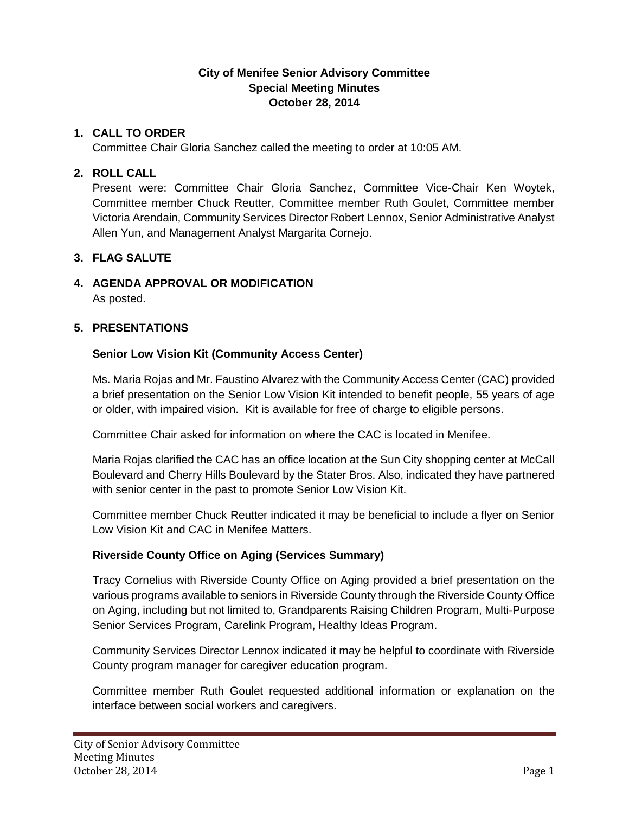### **City of Menifee Senior Advisory Committee Special Meeting Minutes October 28, 2014**

### **1. CALL TO ORDER**

Committee Chair Gloria Sanchez called the meeting to order at 10:05 AM.

## **2. ROLL CALL**

Present were: Committee Chair Gloria Sanchez, Committee Vice-Chair Ken Woytek, Committee member Chuck Reutter, Committee member Ruth Goulet, Committee member Victoria Arendain, Community Services Director Robert Lennox, Senior Administrative Analyst Allen Yun, and Management Analyst Margarita Cornejo.

# **3. FLAG SALUTE**

#### **4. AGENDA APPROVAL OR MODIFICATION** As posted.

### **5. PRESENTATIONS**

# **Senior Low Vision Kit (Community Access Center)**

Ms. Maria Rojas and Mr. Faustino Alvarez with the Community Access Center (CAC) provided a brief presentation on the Senior Low Vision Kit intended to benefit people, 55 years of age or older, with impaired vision. Kit is available for free of charge to eligible persons.

Committee Chair asked for information on where the CAC is located in Menifee.

Maria Rojas clarified the CAC has an office location at the Sun City shopping center at McCall Boulevard and Cherry Hills Boulevard by the Stater Bros. Also, indicated they have partnered with senior center in the past to promote Senior Low Vision Kit.

Committee member Chuck Reutter indicated it may be beneficial to include a flyer on Senior Low Vision Kit and CAC in Menifee Matters.

### **Riverside County Office on Aging (Services Summary)**

Tracy Cornelius with Riverside County Office on Aging provided a brief presentation on the various programs available to seniors in Riverside County through the Riverside County Office on Aging, including but not limited to, Grandparents Raising Children Program, Multi-Purpose Senior Services Program, Carelink Program, Healthy Ideas Program.

Community Services Director Lennox indicated it may be helpful to coordinate with Riverside County program manager for caregiver education program.

Committee member Ruth Goulet requested additional information or explanation on the interface between social workers and caregivers.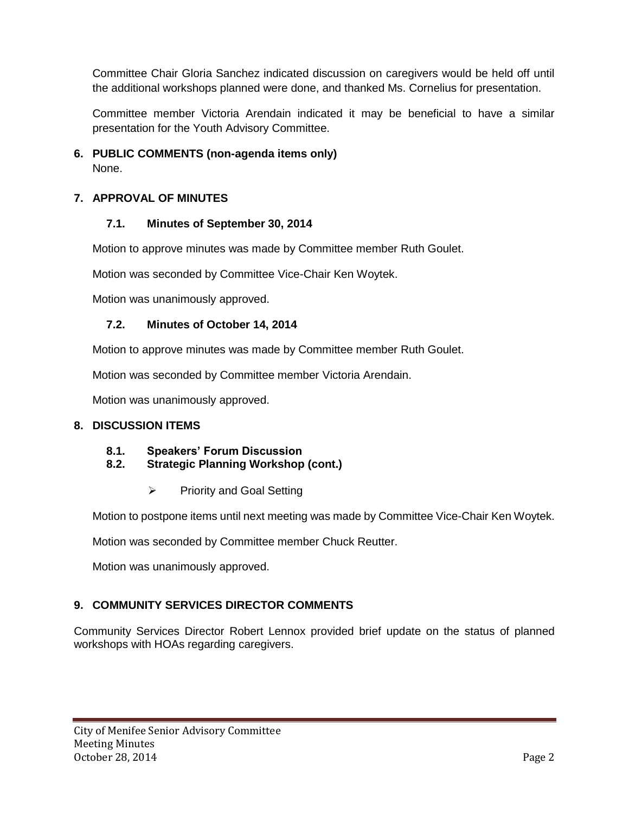Committee Chair Gloria Sanchez indicated discussion on caregivers would be held off until the additional workshops planned were done, and thanked Ms. Cornelius for presentation.

Committee member Victoria Arendain indicated it may be beneficial to have a similar presentation for the Youth Advisory Committee.

**6. PUBLIC COMMENTS (non-agenda items only)** None.

## **7. APPROVAL OF MINUTES**

### **7.1. Minutes of September 30, 2014**

Motion to approve minutes was made by Committee member Ruth Goulet.

Motion was seconded by Committee Vice-Chair Ken Woytek.

Motion was unanimously approved.

### **7.2. Minutes of October 14, 2014**

Motion to approve minutes was made by Committee member Ruth Goulet.

Motion was seconded by Committee member Victoria Arendain.

Motion was unanimously approved.

#### **8. DISCUSSION ITEMS**

#### **8.1. Speakers' Forum Discussion**

- **8.2. Strategic Planning Workshop (cont.)**
	- $\triangleright$  Priority and Goal Setting

Motion to postpone items until next meeting was made by Committee Vice-Chair Ken Woytek.

Motion was seconded by Committee member Chuck Reutter.

Motion was unanimously approved.

### **9. COMMUNITY SERVICES DIRECTOR COMMENTS**

Community Services Director Robert Lennox provided brief update on the status of planned workshops with HOAs regarding caregivers.